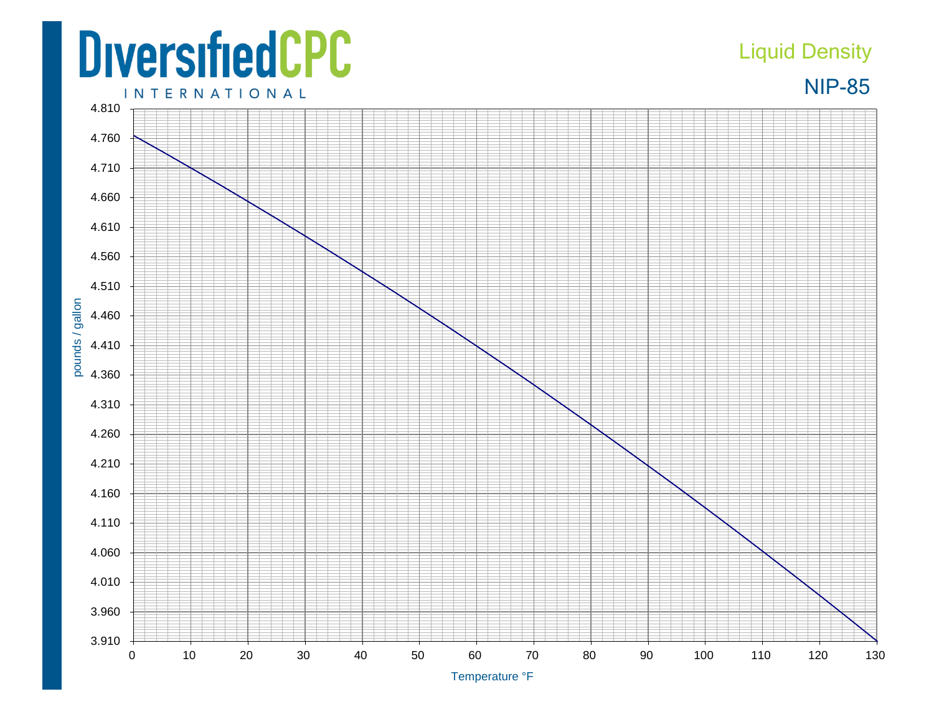## **DiversifiedCPC**

## Liquid Density

NIP-85

**INTERNATIONAL**